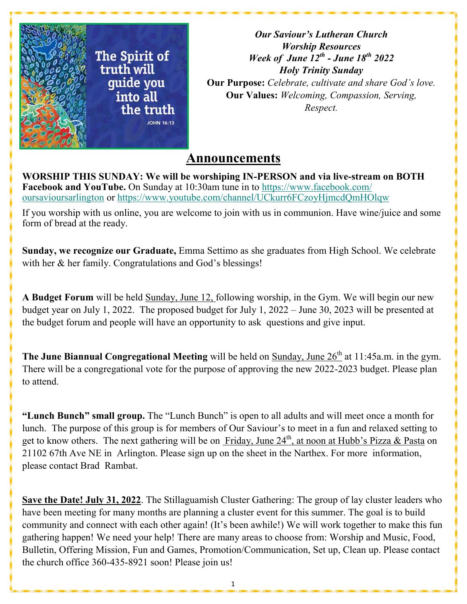

*Our Saviour's Lutheran Church Worship Resources Week of June 12th - June 18th 2022 Holy Trinity Sunday* **Our Purpose:** *Celebrate, cultivate and share God's love.* **Our Values:** *Welcoming, Compassion, Serving, Respect.*

# **Announcements**

**WORSHIP THIS SUNDAY: We will be worshiping IN-PERSON and via live-stream on BOTH Facebook and YouTube.** On Sunday at 10:30am tune in to [https://www.facebook.com/](https://www.facebook.com/oursavioursarlington) [oursavioursarlington](https://www.facebook.com/oursavioursarlington) or <https://www.youtube.com/channel/UCkurr6FCzoyHjmcdQmHOlqw>

If you worship with us online, you are welcome to join with us in communion. Have wine/juice and some form of bread at the ready.

**Sunday, we recognize our Graduate,** Emma Settimo as she graduates from High School. We celebrate with her & her family. Congratulations and God's blessings!

**A Budget Forum** will be held Sunday, June 12, following worship, in the Gym. We will begin our new budget year on July 1, 2022. The proposed budget for July 1, 2022 – June 30, 2023 will be presented at the budget forum and people will have an opportunity to ask questions and give input.

**The June Biannual Congregational Meeting** will be held on Sunday, June 26<sup>th</sup> at 11:45a.m. in the gym. There will be a congregational vote for the purpose of approving the new 2022-2023 budget. Please plan to attend.

**"Lunch Bunch" small group.** The "Lunch Bunch" is open to all adults and will meet once a month for lunch. The purpose of this group is for members of Our Saviour's to meet in a fun and relaxed setting to get to know others. The next gathering will be on Friday, June  $24<sup>th</sup>$ , at noon at Hubb's Pizza & Pasta on 21102 67th Ave NE in Arlington. Please sign up on the sheet in the Narthex. For more information, please contact Brad Rambat.

**Save the Date! July 31, 2022**. The Stillaguamish Cluster Gathering: The group of lay cluster leaders who have been meeting for many months are planning a cluster event for this summer. The goal is to build community and connect with each other again! (It's been awhile!) We will work together to make this fun gathering happen! We need your help! There are many areas to choose from: Worship and Music, Food, Bulletin, Offering Mission, Fun and Games, Promotion/Communication, Set up, Clean up. Please contact the church office 360-435-8921 soon! Please join us!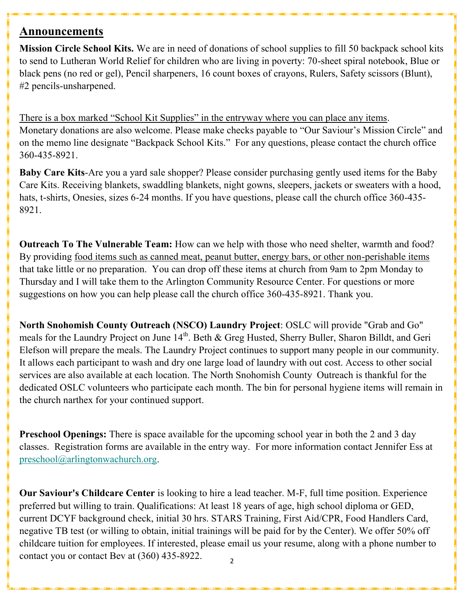## **Announcements**

**Mission Circle School Kits.** We are in need of donations of school supplies to fill 50 backpack school kits to send to Lutheran World Relief for children who are living in poverty: 70-sheet spiral notebook, Blue or black pens (no red or gel), Pencil sharpeners, 16 count boxes of crayons, Rulers, Safety scissors (Blunt), #2 pencils-unsharpened.

There is a box marked "School Kit Supplies" in the entryway where you can place any items. Monetary donations are also welcome. Please make checks payable to "Our Saviour's Mission Circle" and on the memo line designate "Backpack School Kits." For any questions, please contact the church office 360-435-8921.

**Baby Care Kits**-Are you a yard sale shopper? Please consider purchasing gently used items for the Baby Care Kits. Receiving blankets, swaddling blankets, night gowns, sleepers, jackets or sweaters with a hood, hats, t-shirts, Onesies, sizes 6-24 months. If you have questions, please call the church office 360-435- 8921.

**Outreach To The Vulnerable Team:** How can we help with those who need shelter, warmth and food? By providing food items such as canned meat, peanut butter, energy bars, or other non-perishable items that take little or no preparation. You can drop off these items at church from 9am to 2pm Monday to Thursday and I will take them to the Arlington Community Resource Center. For questions or more suggestions on how you can help please call the church office 360-435-8921. Thank you.

**North Snohomish County Outreach (NSCO) Laundry Project**: OSLC will provide "Grab and Go" meals for the Laundry Project on June 14<sup>th</sup>. Beth & Greg Husted, Sherry Buller, Sharon Billdt, and Geri Elefson will prepare the meals. The Laundry Project continues to support many people in our community. It allows each participant to wash and dry one large load of laundry with out cost. Access to other social services are also available at each location. The North Snohomish County Outreach is thankful for the dedicated OSLC volunteers who participate each month. The bin for personal hygiene items will remain in the church narthex for your continued support.

**Preschool Openings:** There is space available for the upcoming school year in both the 2 and 3 day classes. Registration forms are available in the entry way. For more information contact Jennifer Ess at [preschool@arlingtonwachurch.org.](mailto:preschool@arlingtonwachurch.org)

2 **Our Saviour's Childcare Center** is looking to hire a lead teacher. M-F, full time position. Experience preferred but willing to train. Qualifications: At least 18 years of age, high school diploma or GED, current DCYF background check, initial 30 hrs. STARS Training, First Aid/CPR, Food Handlers Card, negative TB test (or willing to obtain, initial trainings will be paid for by the Center). We offer 50% off childcare tuition for employees. If interested, please email us your resume, along with a phone number to contact you or contact Bev at (360) 435-8922.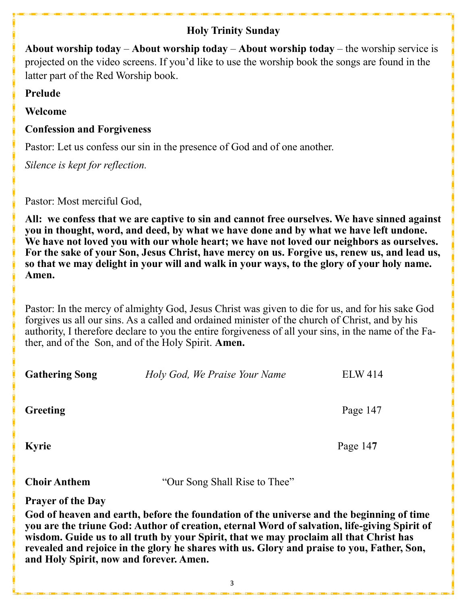## **Holy Trinity Sunday**

**About worship today** – **About worship today** – **About worship today** – the worship service is projected on the video screens. If you'd like to use the worship book the songs are found in the latter part of the Red Worship book.

**Prelude**

**Welcome** 

## **Confession and Forgiveness**

Pastor: Let us confess our sin in the presence of God and of one another.

*Silence is kept for reflection.*

Pastor: Most merciful God,

**All: we confess that we are captive to sin and cannot free ourselves. We have sinned against you in thought, word, and deed, by what we have done and by what we have left undone. We have not loved you with our whole heart; we have not loved our neighbors as ourselves. For the sake of your Son, Jesus Christ, have mercy on us. Forgive us, renew us, and lead us, so that we may delight in your will and walk in your ways, to the glory of your holy name. Amen.**

Pastor: In the mercy of almighty God, Jesus Christ was given to die for us, and for his sake God forgives us all our sins. As a called and ordained minister of the church of Christ, and by his authority, I therefore declare to you the entire forgiveness of all your sins, in the name of the Father, and of the Son, and of the Holy Spirit. **Amen.**

**Gathering Song** *Holy God, We Praise Your Name* **ELW 414** 

**Greeting** Page 147

**Kyrie** Page 14**7** 

**Choir Anthem** "Our Song Shall Rise to Thee"

**Prayer of the Day** 

**God of heaven and earth, before the foundation of the universe and the beginning of time you are the triune God: Author of creation, eternal Word of salvation, life-giving Spirit of wisdom. Guide us to all truth by your Spirit, that we may proclaim all that Christ has revealed and rejoice in the glory he shares with us. Glory and praise to you, Father, Son, and Holy Spirit, now and forever. Amen.**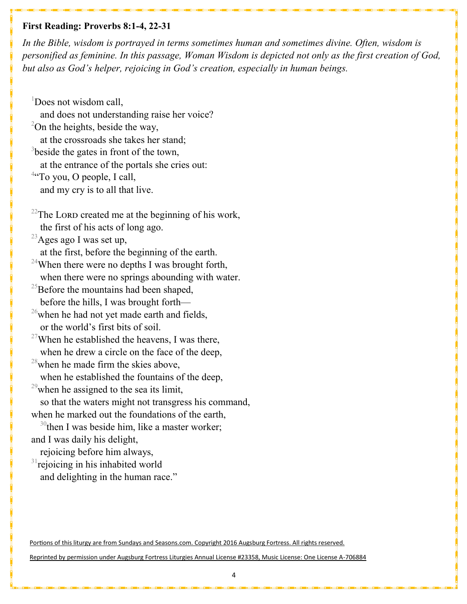#### **First Reading: Proverbs 8:1-4, 22-31**

*In the Bible, wisdom is portrayed in terms sometimes human and sometimes divine. Often, wisdom is personified as feminine. In this passage, Woman Wisdom is depicted not only as the first creation of God, but also as God's helper, rejoicing in God's creation, especially in human beings.*

 $1$ Does not wisdom call. and does not understanding raise her voice?  $2$ On the heights, beside the way, at the crossroads she takes her stand;  $3$ beside the gates in front of the town, at the entrance of the portals she cries out: <sup>4</sup>"To you, O people, I call, and my cry is to all that live. <sup>22</sup>The LORD created me at the beginning of his work, the first of his acts of long ago.  $^{23}$ Ages ago I was set up, at the first, before the beginning of the earth. <sup>24</sup>When there were no depths I was brought forth, when there were no springs abounding with water. <sup>25</sup>Before the mountains had been shaped, before the hills, I was brought forth—  $^{26}$ when he had not yet made earth and fields, or the world's first bits of soil. <sup>27</sup>When he established the heavens, I was there, when he drew a circle on the face of the deep,  $28$ when he made firm the skies above, when he established the fountains of the deep,

 $^{29}$ when he assigned to the sea its limit,

 so that the waters might not transgress his command, when he marked out the foundations of the earth,

 $30$ <sup>0</sup>then I was beside him, like a master worker; and I was daily his delight,

rejoicing before him always,

<sup>31</sup>rejoicing in his inhabited world and delighting in the human race."

Portions of this liturgy are from Sundays and Seasons.com. Copyright 2016 Augsburg Fortress. All rights reserved.

Reprinted by permission under Augsburg Fortress Liturgies Annual License #23358, Music License: One License A-706884

4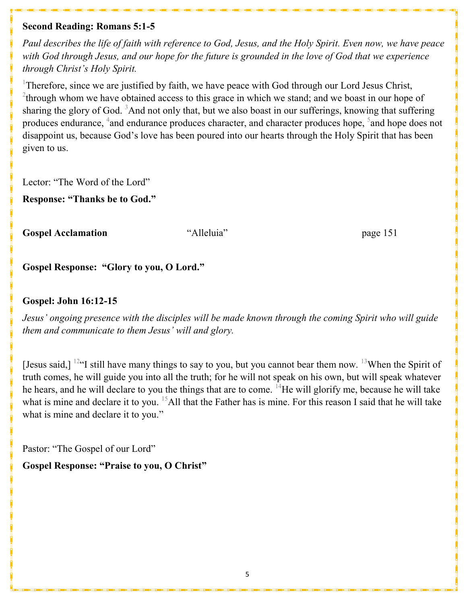#### **Second Reading: Romans 5:1-5**

*Paul describes the life of faith with reference to God, Jesus, and the Holy Spirit. Even now, we have peace with God through Jesus, and our hope for the future is grounded in the love of God that we experience through Christ's Holy Spirit.*

<sup>1</sup>Therefore, since we are justified by faith, we have peace with God through our Lord Jesus Christ,  $2$ <sup>2</sup>through whom we have obtained access to this grace in which we stand; and we boast in our hope of sharing the glory of God.  $3$ And not only that, but we also boast in our sufferings, knowing that suffering produces endurance, <sup>4</sup>and endurance produces character, and character produces hope,  $5$  and hope does not disappoint us, because God's love has been poured into our hearts through the Holy Spirit that has been given to us.

Lector: "The Word of the Lord"

**Response: "Thanks be to God."**

**Gospel Acclamation** "Alleluia" page 151

**Gospel Response: "Glory to you, O Lord."** 

#### **Gospel: John 16:12-15**

*Jesus' ongoing presence with the disciples will be made known through the coming Spirit who will guide them and communicate to them Jesus' will and glory.*

[Jesus said,]  $^{12}$ "I still have many things to say to you, but you cannot bear them now.  $^{13}$ When the Spirit of truth comes, he will guide you into all the truth; for he will not speak on his own, but will speak whatever he hears, and he will declare to you the things that are to come. <sup>14</sup>He will glorify me, because he will take what is mine and declare it to you. <sup>15</sup>All that the Father has is mine. For this reason I said that he will take what is mine and declare it to you."

Pastor: "The Gospel of our Lord"

**Gospel Response: "Praise to you, O Christ"**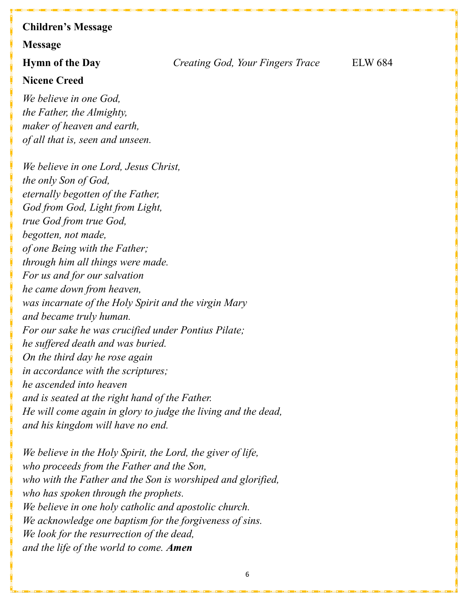## **Children's Message**

#### **Message**

**Nicene Creed**

*We believe in one God, the Father, the Almighty, maker of heaven and earth, of all that is, seen and unseen.*

*We believe in one Lord, Jesus Christ, the only Son of God, eternally begotten of the Father, God from God, Light from Light, true God from true God, begotten, not made, of one Being with the Father; through him all things were made. For us and for our salvation he came down from heaven, was incarnate of the Holy Spirit and the virgin Mary and became truly human. For our sake he was crucified under Pontius Pilate; he suffered death and was buried. On the third day he rose again in accordance with the scriptures; he ascended into heaven and is seated at the right hand of the Father. He will come again in glory to judge the living and the dead, and his kingdom will have no end.*

*We believe in the Holy Spirit, the Lord, the giver of life, who proceeds from the Father and the Son, who with the Father and the Son is worshiped and glorified, who has spoken through the prophets. We believe in one holy catholic and apostolic church. We acknowledge one baptism for the forgiveness of sins. We look for the resurrection of the dead, and the life of the world to come. Amen*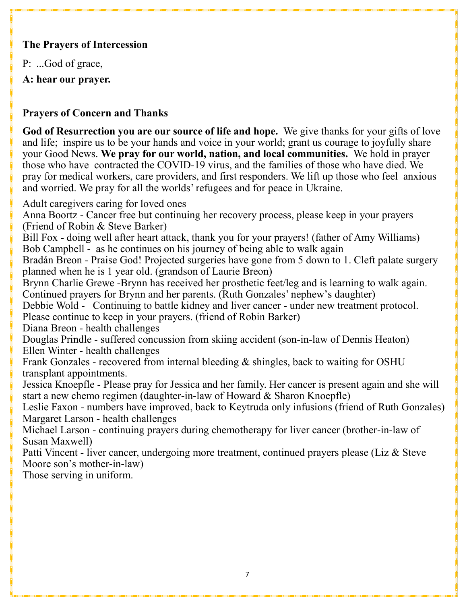## **The Prayers of Intercession**

P: ...God of grace,

**A: hear our prayer.**

## **Prayers of Concern and Thanks**

**God of Resurrection you are our source of life and hope.** We give thanks for your gifts of love and life; inspire us to be your hands and voice in your world; grant us courage to joyfully share your Good News. **We pray for our world, nation, and local communities.** We hold in prayer those who have contracted the COVID-19 virus, and the families of those who have died. We pray for medical workers, care providers, and first responders. We lift up those who feel anxious and worried. We pray for all the worlds' refugees and for peace in Ukraine.

Adult caregivers caring for loved ones

Anna Boortz - Cancer free but continuing her recovery process, please keep in your prayers (Friend of Robin & Steve Barker)

Bill Fox - doing well after heart attack, thank you for your prayers! (father of Amy Williams) Bob Campbell - as he continues on his journey of being able to walk again

Bradán Breon - Praise God! Projected surgeries have gone from 5 down to 1. Cleft palate surgery planned when he is 1 year old. (grandson of Laurie Breon)

Brynn Charlie Grewe -Brynn has received her prosthetic feet/leg and is learning to walk again. Continued prayers for Brynn and her parents. (Ruth Gonzales' nephew's daughter)

Debbie Wold - Continuing to battle kidney and liver cancer - under new treatment protocol. Please continue to keep in your prayers. (friend of Robin Barker)

Diana Breon - health challenges

Douglas Prindle - suffered concussion from skiing accident (son-in-law of Dennis Heaton) Ellen Winter - health challenges

Frank Gonzales - recovered from internal bleeding & shingles, back to waiting for OSHU transplant appointments.

Jessica Knoepfle - Please pray for Jessica and her family. Her cancer is present again and she will start a new chemo regimen (daughter-in-law of Howard & Sharon Knoepfle)

Leslie Faxon - numbers have improved, back to Keytruda only infusions (friend of Ruth Gonzales) Margaret Larson - health challenges

Michael Larson - continuing prayers during chemotherapy for liver cancer (brother-in-law of Susan Maxwell)

Patti Vincent - liver cancer, undergoing more treatment, continued prayers please (Liz & Steve Moore son's mother-in-law)

Those serving in uniform.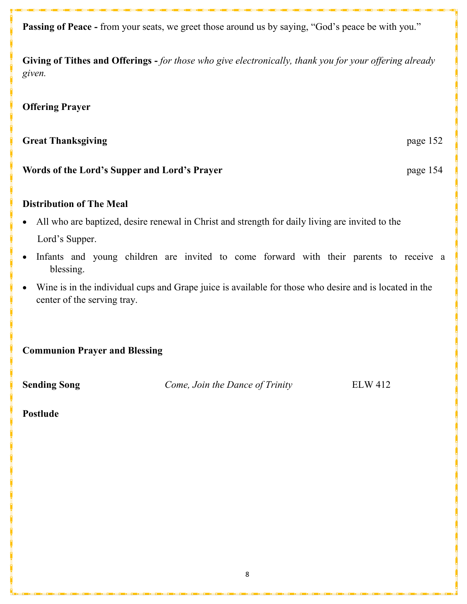**Passing of Peace -** from your seats, we greet those around us by saying, "God's peace be with you."

**Giving of Tithes and Offerings -** *for those who give electronically, thank you for your offering already given.*

#### **Offering Prayer**

## **Great Thanksgiving**  page 152

#### **Words of the Lord's Supper and Lord's Prayer** page 154

#### **Distribution of The Meal**

- All who are baptized, desire renewal in Christ and strength for daily living are invited to the Lord's Supper.
- Infants and young children are invited to come forward with their parents to receive a blessing.
- Wine is in the individual cups and Grape juice is available for those who desire and is located in the center of the serving tray.

**Communion Prayer and Blessing**

**Sending Song** *Come, Join the Dance of Trinity* ELW 412

#### **Postlude**

8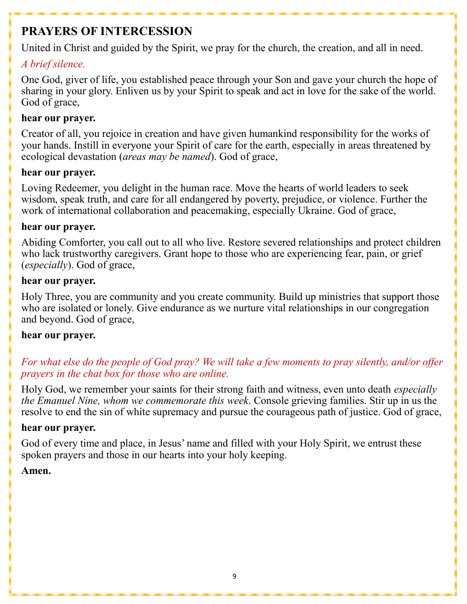# **PRAYERS OF INTERCESSION**

United in Christ and guided by the Spirit, we pray for the church, the creation, and all in need.

## *A brief silence.*

One God, giver of life, you established peace through your Son and gave your church the hope of sharing in your glory. Enliven us by your Spirit to speak and act in love for the sake of the world. God of grace,

## **hear our prayer.**

Creator of all, you rejoice in creation and have given humankind responsibility for the works of your hands. Instill in everyone your Spirit of care for the earth, especially in areas threatened by ecological devastation (*areas may be named*). God of grace,

## **hear our prayer.**

Loving Redeemer, you delight in the human race. Move the hearts of world leaders to seek wisdom, speak truth, and care for all endangered by poverty, prejudice, or violence. Further the work of international collaboration and peacemaking, especially Ukraine. God of grace,

### **hear our prayer.**

Abiding Comforter, you call out to all who live. Restore severed relationships and protect children who lack trustworthy caregivers. Grant hope to those who are experiencing fear, pain, or grief (*especially*). God of grace,

### **hear our prayer.**

Holy Three, you are community and you create community. Build up ministries that support those who are isolated or lonely. Give endurance as we nurture vital relationships in our congregation and beyond. God of grace,

## **hear our prayer.**

## *For what else do the people of God pray? We will take a few moments to pray silently, and/or offer prayers in the chat box for those who are online.*

Holy God, we remember your saints for their strong faith and witness, even unto death *especially the Emanuel Nine, whom we commemorate this week*. Console grieving families. Stir up in us the resolve to end the sin of white supremacy and pursue the courageous path of justice. God of grace,

## **hear our prayer.**

God of every time and place, in Jesus' name and filled with your Holy Spirit, we entrust these spoken prayers and those in our hearts into your holy keeping.

## **Amen.**